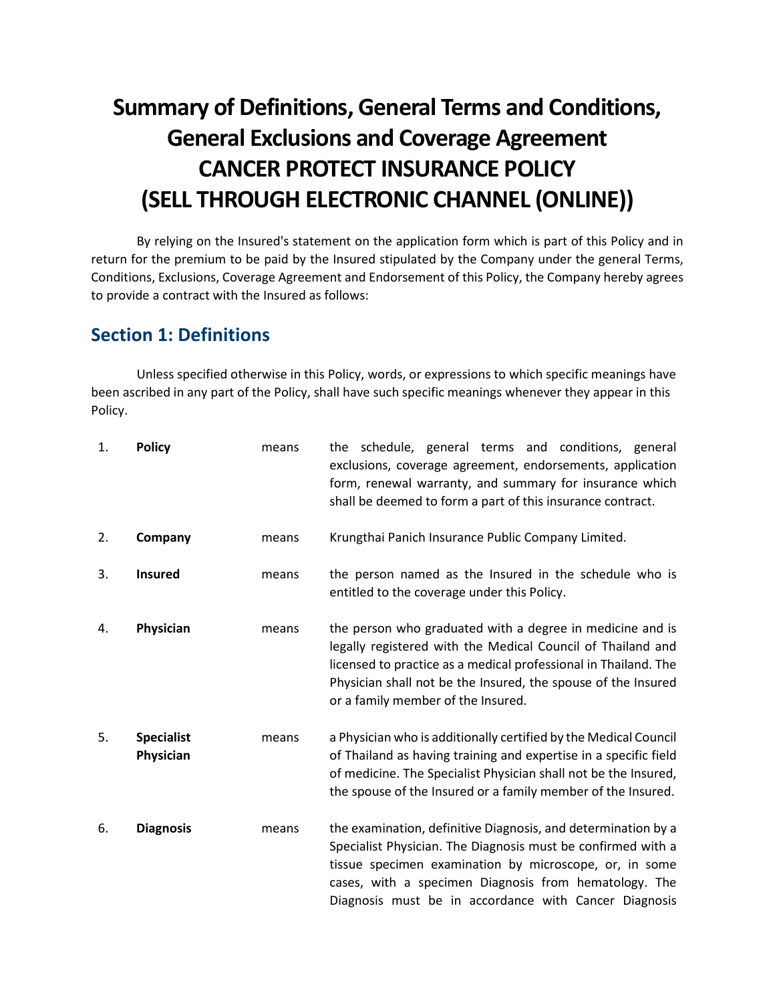# **Summary of Definitions, General Terms and Conditions, General Exclusions and Coverage Agreement CANCER PROTECT INSURANCE POLICY (SELL THROUGH ELECTRONIC CHANNEL (ONLINE))**

By relying on the Insured's statement on the application form which is part of this Policy and in return for the premium to be paid by the Insured stipulated by the Company under the general Terms, Conditions, Exclusions, Coverage Agreement and Endorsement of this Policy, the Company hereby agrees to provide a contract with the Insured as follows:

## **Section 1: Definitions**

Unless specified otherwise in this Policy, words, or expressions to which specific meanings have been ascribed in any part of the Policy, shall have such specific meanings whenever they appear in this Policy.

| 1. | <b>Policy</b>                  | means | the schedule, general terms and conditions, general<br>exclusions, coverage agreement, endorsements, application<br>form, renewal warranty, and summary for insurance which<br>shall be deemed to form a part of this insurance contract.                                                                 |
|----|--------------------------------|-------|-----------------------------------------------------------------------------------------------------------------------------------------------------------------------------------------------------------------------------------------------------------------------------------------------------------|
| 2. | Company                        | means | Krungthai Panich Insurance Public Company Limited.                                                                                                                                                                                                                                                        |
| 3. | <b>Insured</b>                 | means | the person named as the Insured in the schedule who is<br>entitled to the coverage under this Policy.                                                                                                                                                                                                     |
| 4. | Physician                      | means | the person who graduated with a degree in medicine and is<br>legally registered with the Medical Council of Thailand and<br>licensed to practice as a medical professional in Thailand. The<br>Physician shall not be the Insured, the spouse of the Insured<br>or a family member of the Insured.        |
| 5. | <b>Specialist</b><br>Physician | means | a Physician who is additionally certified by the Medical Council<br>of Thailand as having training and expertise in a specific field<br>of medicine. The Specialist Physician shall not be the Insured,<br>the spouse of the Insured or a family member of the Insured.                                   |
| 6. | <b>Diagnosis</b>               | means | the examination, definitive Diagnosis, and determination by a<br>Specialist Physician. The Diagnosis must be confirmed with a<br>tissue specimen examination by microscope, or, in some<br>cases, with a specimen Diagnosis from hematology. The<br>Diagnosis must be in accordance with Cancer Diagnosis |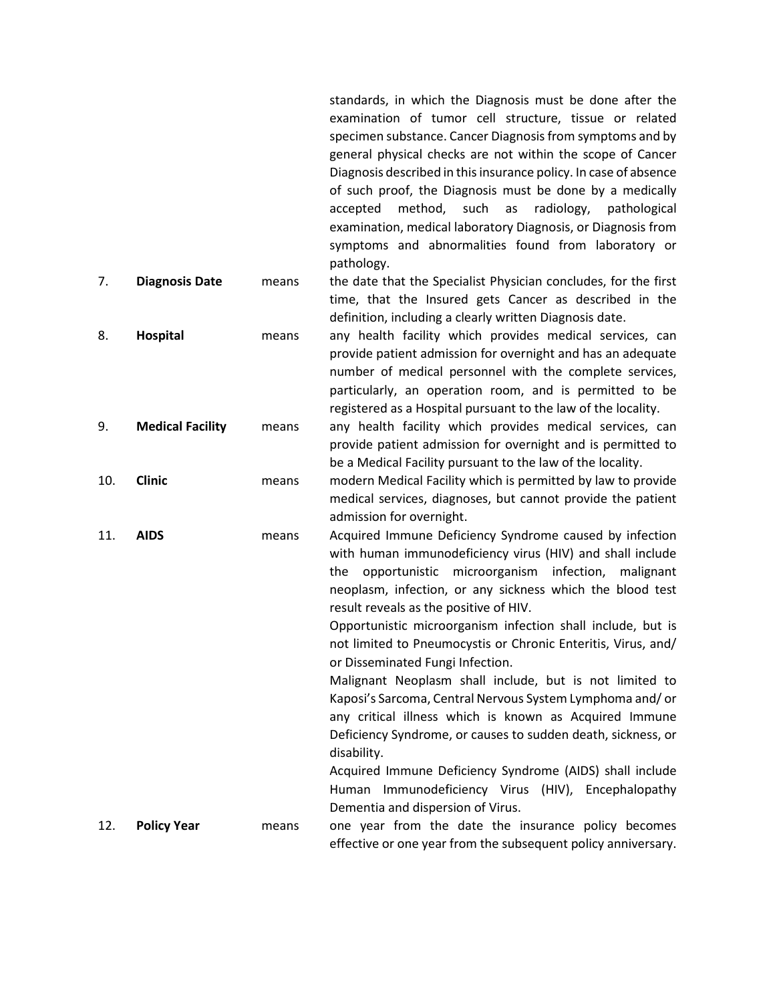|     |                         |       | examination of tumor cell structure, tissue or related<br>specimen substance. Cancer Diagnosis from symptoms and by<br>general physical checks are not within the scope of Cancer<br>Diagnosis described in this insurance policy. In case of absence<br>of such proof, the Diagnosis must be done by a medically<br>method, such<br>radiology,<br>accepted<br>as<br>pathological<br>examination, medical laboratory Diagnosis, or Diagnosis from<br>symptoms and abnormalities found from laboratory or<br>pathology.                                                                                                                                                                                                                                                                                                                                                            |
|-----|-------------------------|-------|-----------------------------------------------------------------------------------------------------------------------------------------------------------------------------------------------------------------------------------------------------------------------------------------------------------------------------------------------------------------------------------------------------------------------------------------------------------------------------------------------------------------------------------------------------------------------------------------------------------------------------------------------------------------------------------------------------------------------------------------------------------------------------------------------------------------------------------------------------------------------------------|
| 7.  | <b>Diagnosis Date</b>   | means | the date that the Specialist Physician concludes, for the first<br>time, that the Insured gets Cancer as described in the<br>definition, including a clearly written Diagnosis date.                                                                                                                                                                                                                                                                                                                                                                                                                                                                                                                                                                                                                                                                                              |
| 8.  | Hospital                | means | any health facility which provides medical services, can<br>provide patient admission for overnight and has an adequate<br>number of medical personnel with the complete services,<br>particularly, an operation room, and is permitted to be<br>registered as a Hospital pursuant to the law of the locality.                                                                                                                                                                                                                                                                                                                                                                                                                                                                                                                                                                    |
| 9.  | <b>Medical Facility</b> | means | any health facility which provides medical services, can<br>provide patient admission for overnight and is permitted to<br>be a Medical Facility pursuant to the law of the locality.                                                                                                                                                                                                                                                                                                                                                                                                                                                                                                                                                                                                                                                                                             |
| 10. | <b>Clinic</b>           | means | modern Medical Facility which is permitted by law to provide<br>medical services, diagnoses, but cannot provide the patient<br>admission for overnight.                                                                                                                                                                                                                                                                                                                                                                                                                                                                                                                                                                                                                                                                                                                           |
| 11. | <b>AIDS</b>             | means | Acquired Immune Deficiency Syndrome caused by infection<br>with human immunodeficiency virus (HIV) and shall include<br>opportunistic microorganism infection, malignant<br>the<br>neoplasm, infection, or any sickness which the blood test<br>result reveals as the positive of HIV.<br>Opportunistic microorganism infection shall include, but is<br>not limited to Pneumocystis or Chronic Enteritis, Virus, and/<br>or Disseminated Fungi Infection.<br>Malignant Neoplasm shall include, but is not limited to<br>Kaposi's Sarcoma, Central Nervous System Lymphoma and/or<br>any critical illness which is known as Acquired Immune<br>Deficiency Syndrome, or causes to sudden death, sickness, or<br>disability.<br>Acquired Immune Deficiency Syndrome (AIDS) shall include<br>Human Immunodeficiency Virus (HIV), Encephalopathy<br>Dementia and dispersion of Virus. |
| 12. | <b>Policy Year</b>      | means | one year from the date the insurance policy becomes<br>effective or one year from the subsequent policy anniversary.                                                                                                                                                                                                                                                                                                                                                                                                                                                                                                                                                                                                                                                                                                                                                              |

standards, in which the Diagnosis must be done after the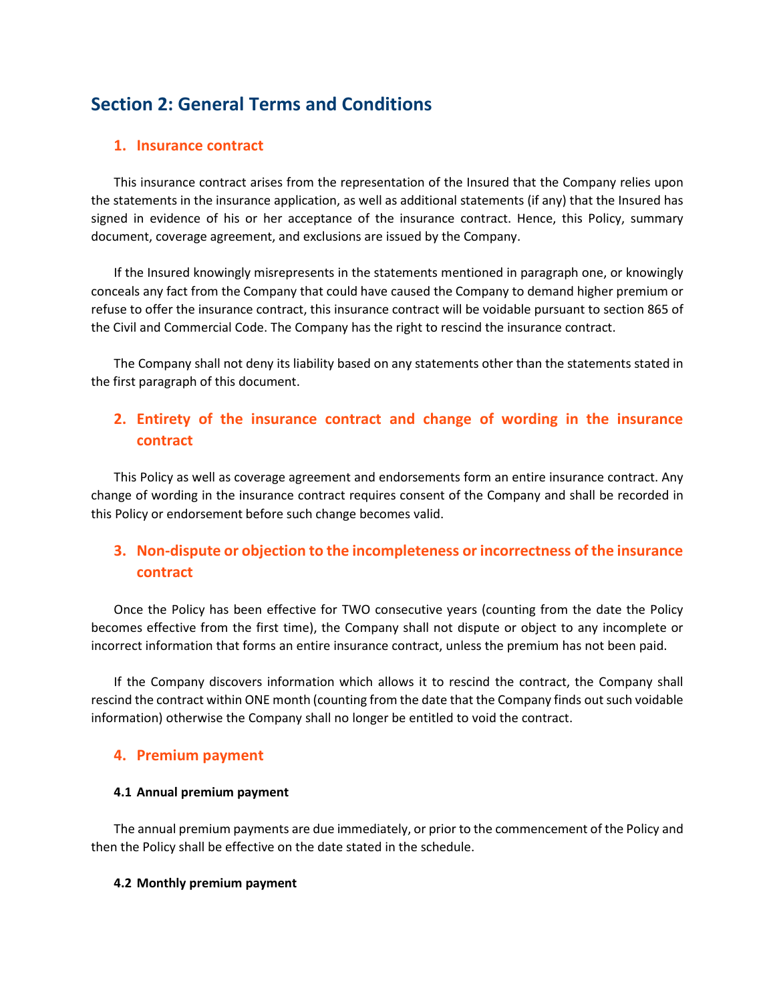# **Section 2: General Terms and Conditions**

## **1. Insurance contract**

This insurance contract arises from the representation of the Insured that the Company relies upon the statements in the insurance application, as well as additional statements (if any) that the Insured has signed in evidence of his or her acceptance of the insurance contract. Hence, this Policy, summary document, coverage agreement, and exclusions are issued by the Company.

If the Insured knowingly misrepresents in the statements mentioned in paragraph one, or knowingly conceals any fact from the Company that could have caused the Company to demand higher premium or refuse to offer the insurance contract, this insurance contract will be voidable pursuant to section 865 of the Civil and Commercial Code. The Company has the right to rescind the insurance contract.

The Company shall not deny its liability based on any statements other than the statements stated in the first paragraph of this document.

## **2. Entirety of the insurance contract and change of wording in the insurance contract**

This Policy as well as coverage agreement and endorsements form an entire insurance contract. Any change of wording in the insurance contract requires consent of the Company and shall be recorded in this Policy or endorsement before such change becomes valid.

## **3. Non-dispute or objection to the incompleteness or incorrectness of the insurance contract**

Once the Policy has been effective for TWO consecutive years (counting from the date the Policy becomes effective from the first time), the Company shall not dispute or object to any incomplete or incorrect information that forms an entire insurance contract, unless the premium has not been paid.

If the Company discovers information which allows it to rescind the contract, the Company shall rescind the contract within ONE month (counting from the date that the Company finds out such voidable information) otherwise the Company shall no longer be entitled to void the contract.

## **4. Premium payment**

#### **4.1 Annual premium payment**

The annual premium payments are due immediately, or prior to the commencement of the Policy and then the Policy shall be effective on the date stated in the schedule.

#### **4.2 Monthly premium payment**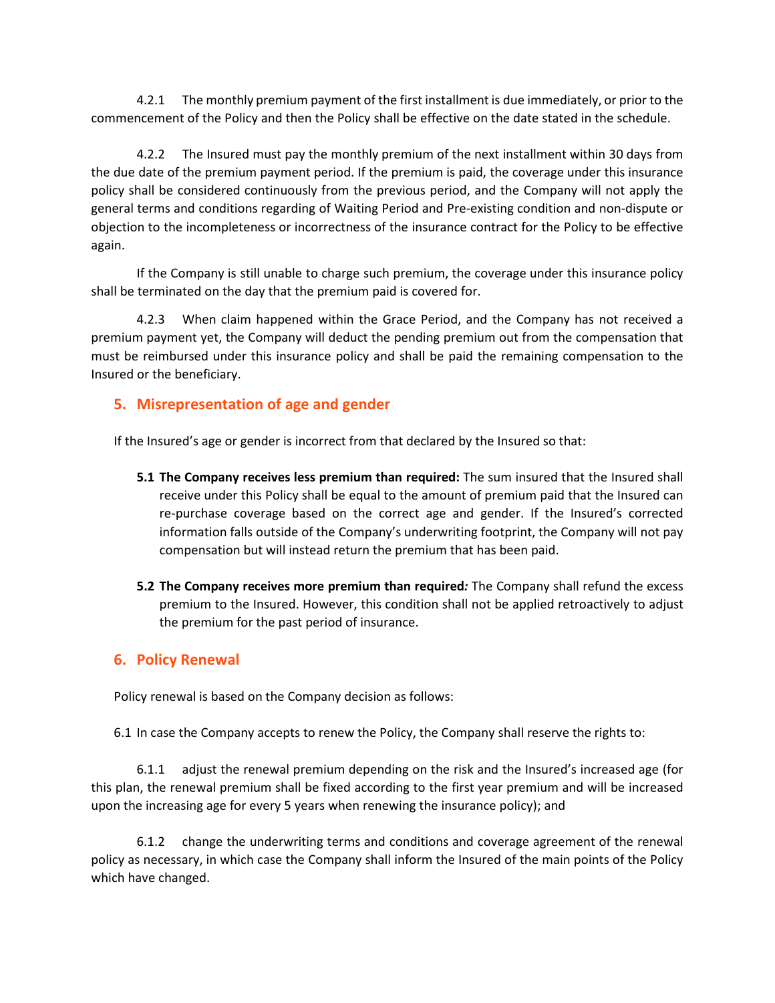4.2.1 The monthly premium payment of the first installment is due immediately, or prior to the commencement of the Policy and then the Policy shall be effective on the date stated in the schedule.

4.2.2 The Insured must pay the monthly premium of the next installment within 30 days from the due date of the premium payment period. If the premium is paid, the coverage under this insurance policy shall be considered continuously from the previous period, and the Company will not apply the general terms and conditions regarding of Waiting Period and Pre-existing condition and non-dispute or objection to the incompleteness or incorrectness of the insurance contract for the Policy to be effective again.

If the Company is still unable to charge such premium, the coverage under this insurance policy shall be terminated on the day that the premium paid is covered for.

4.2.3 When claim happened within the Grace Period, and the Company has not received a premium payment yet, the Company will deduct the pending premium out from the compensation that must be reimbursed under this insurance policy and shall be paid the remaining compensation to the Insured or the beneficiary.

## **5. Misrepresentation of age and gender**

If the Insured's age or gender is incorrect from that declared by the Insured so that:

- **5.1 The Company receives less premium than required:** The sum insured that the Insured shall receive under this Policy shall be equal to the amount of premium paid that the Insured can re-purchase coverage based on the correct age and gender. If the Insured's corrected information falls outside of the Company's underwriting footprint, the Company will not pay compensation but will instead return the premium that has been paid.
- **5.2 The Company receives more premium than required***:* The Company shall refund the excess premium to the Insured. However, this condition shall not be applied retroactively to adjust the premium for the past period of insurance.

## **6. Policy Renewal**

Policy renewal is based on the Company decision as follows:

6.1 In case the Company accepts to renew the Policy, the Company shall reserve the rights to:

6.1.1 adjust the renewal premium depending on the risk and the Insured's increased age (for this plan, the renewal premium shall be fixed according to the first year premium and will be increased upon the increasing age for every 5 years when renewing the insurance policy); and

6.1.2 change the underwriting terms and conditions and coverage agreement of the renewal policy as necessary, in which case the Company shall inform the Insured of the main points of the Policy which have changed.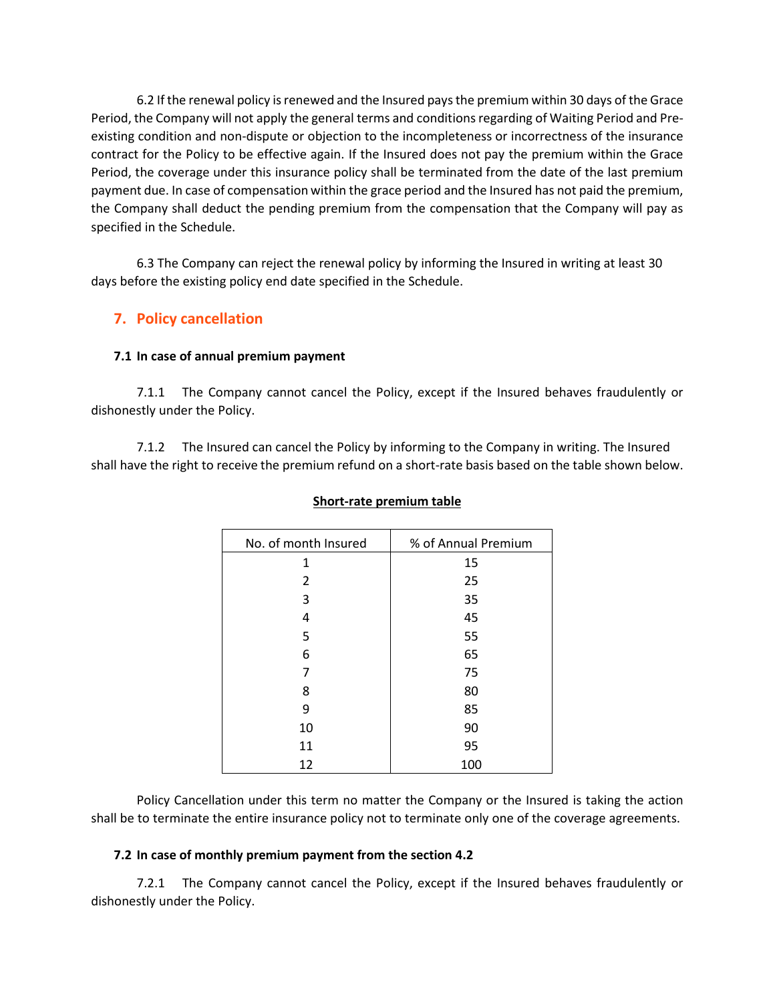6.2 If the renewal policy is renewed and the Insured pays the premium within 30 days of the Grace Period, the Company will not apply the general terms and conditions regarding of Waiting Period and Preexisting condition and non-dispute or objection to the incompleteness or incorrectness of the insurance contract for the Policy to be effective again. If the Insured does not pay the premium within the Grace Period, the coverage under this insurance policy shall be terminated from the date of the last premium payment due. In case of compensation within the grace period and the Insured has not paid the premium, the Company shall deduct the pending premium from the compensation that the Company will pay as specified in the Schedule.

6.3 The Company can reject the renewal policy by informing the Insured in writing at least 30 days before the existing policy end date specified in the Schedule.

## **7. Policy cancellation**

#### **7.1 In case of annual premium payment**

7.1.1 The Company cannot cancel the Policy, except if the Insured behaves fraudulently or dishonestly under the Policy.

7.1.2 The Insured can cancel the Policy by informing to the Company in writing. The Insured shall have the right to receive the premium refund on a short-rate basis based on the table shown below.

| No. of month Insured | % of Annual Premium |
|----------------------|---------------------|
| 1                    | 15                  |
| 2                    | 25                  |
| 3                    | 35                  |
| 4                    | 45                  |
| 5                    | 55                  |
| 6                    | 65                  |
| 7                    | 75                  |
| 8                    | 80                  |
| 9                    | 85                  |
| 10                   | 90                  |
| 11                   | 95                  |
| 12                   | 100                 |

#### **Short-rate premium table**

Policy Cancellation under this term no matter the Company or the Insured is taking the action shall be to terminate the entire insurance policy not to terminate only one of the coverage agreements.

#### **7.2 In case of monthly premium payment from the section 4.2**

7.2.1 The Company cannot cancel the Policy, except if the Insured behaves fraudulently or dishonestly under the Policy.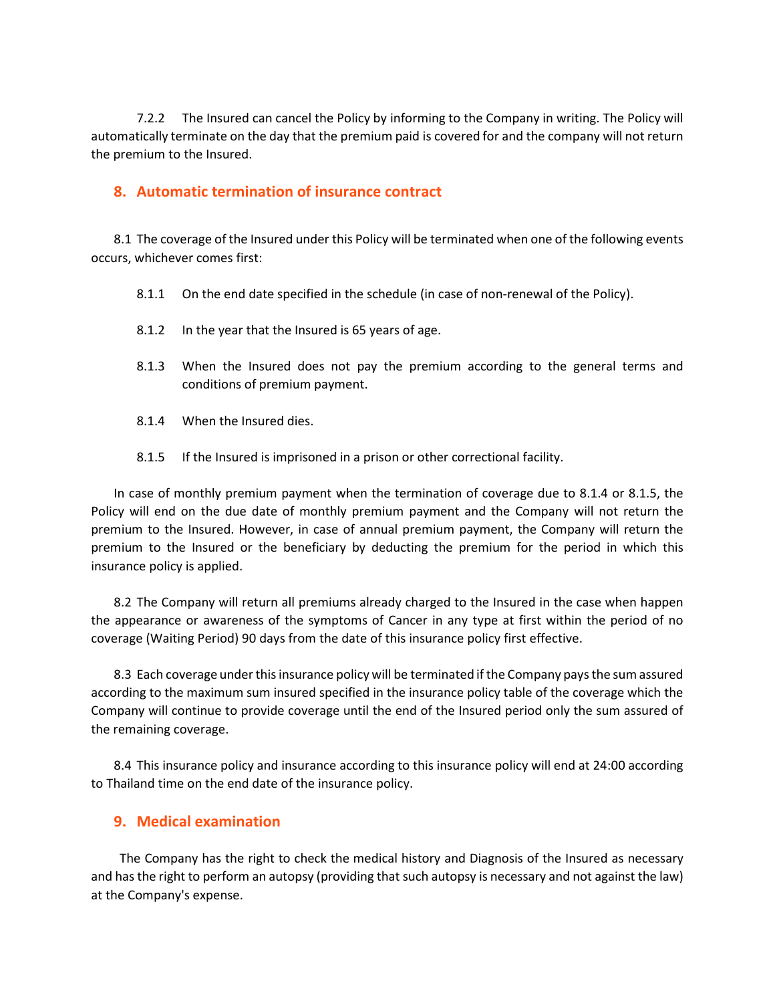7.2.2 The Insured can cancel the Policy by informing to the Company in writing. The Policy will automatically terminate on the day that the premium paid is covered for and the company will not return the premium to the Insured.

## **8. Automatic termination of insurance contract**

8.1 The coverage of the Insured under this Policy will be terminated when one of the following events occurs, whichever comes first:

- 8.1.1 On the end date specified in the schedule (in case of non-renewal of the Policy).
- 8.1.2 In the year that the Insured is 65 years of age.
- 8.1.3 When the Insured does not pay the premium according to the general terms and conditions of premium payment.
- 8.1.4 When the Insured dies.
- 8.1.5 If the Insured is imprisoned in a prison or other correctional facility.

In case of monthly premium payment when the termination of coverage due to 8.1.4 or 8.1.5, the Policy will end on the due date of monthly premium payment and the Company will not return the premium to the Insured. However, in case of annual premium payment, the Company will return the premium to the Insured or the beneficiary by deducting the premium for the period in which this insurance policy is applied.

8.2 The Company will return all premiums already charged to the Insured in the case when happen the appearance or awareness of the symptoms of Cancer in any type at first within the period of no coverage (Waiting Period) 90 days from the date of this insurance policy first effective.

8.3 Each coverage under this insurance policy will be terminated if the Company pays the sum assured according to the maximum sum insured specified in the insurance policy table of the coverage which the Company will continue to provide coverage until the end of the Insured period only the sum assured of the remaining coverage.

8.4 This insurance policy and insurance according to this insurance policy will end at 24:00 according to Thailand time on the end date of the insurance policy.

## **9. Medical examination**

The Company has the right to check the medical history and Diagnosis of the Insured as necessary and has the right to perform an autopsy (providing that such autopsy is necessary and not against the law) at the Company's expense.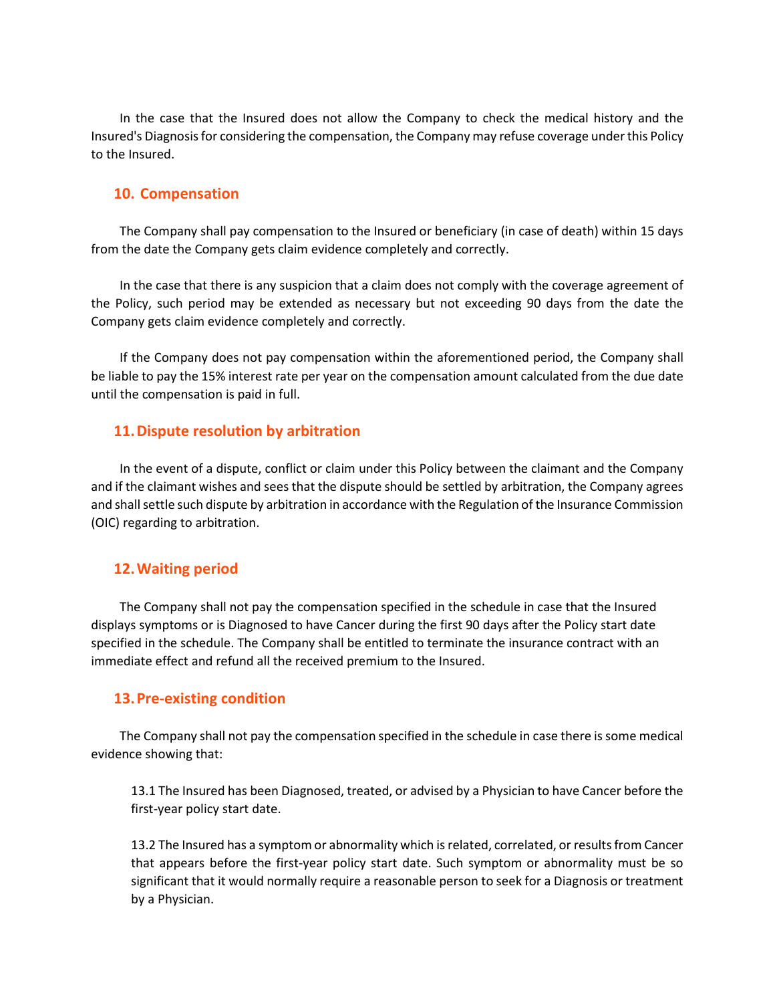In the case that the Insured does not allow the Company to check the medical history and the Insured's Diagnosisfor considering the compensation, the Company may refuse coverage under this Policy to the Insured.

#### **10. Compensation**

The Company shall pay compensation to the Insured or beneficiary (in case of death) within 15 days from the date the Company gets claim evidence completely and correctly.

In the case that there is any suspicion that a claim does not comply with the coverage agreement of the Policy, such period may be extended as necessary but not exceeding 90 days from the date the Company gets claim evidence completely and correctly.

If the Company does not pay compensation within the aforementioned period, the Company shall be liable to pay the 15% interest rate per year on the compensation amount calculated from the due date until the compensation is paid in full.

## **11.Dispute resolution by arbitration**

In the event of a dispute, conflict or claim under this Policy between the claimant and the Company and if the claimant wishes and sees that the dispute should be settled by arbitration, the Company agrees and shall settle such dispute by arbitration in accordance with the Regulation of the Insurance Commission (OIC) regarding to arbitration.

## **12.Waiting period**

The Company shall not pay the compensation specified in the schedule in case that the Insured displays symptoms or is Diagnosed to have Cancer during the first 90 days after the Policy start date specified in the schedule. The Company shall be entitled to terminate the insurance contract with an immediate effect and refund all the received premium to the Insured.

## **13.Pre-existing condition**

The Company shall not pay the compensation specified in the schedule in case there is some medical evidence showing that:

13.1 The Insured has been Diagnosed, treated, or advised by a Physician to have Cancer before the first-year policy start date.

13.2 The Insured has a symptom or abnormality which is related, correlated, or results from Cancer that appears before the first-year policy start date. Such symptom or abnormality must be so significant that it would normally require a reasonable person to seek for a Diagnosis or treatment by a Physician.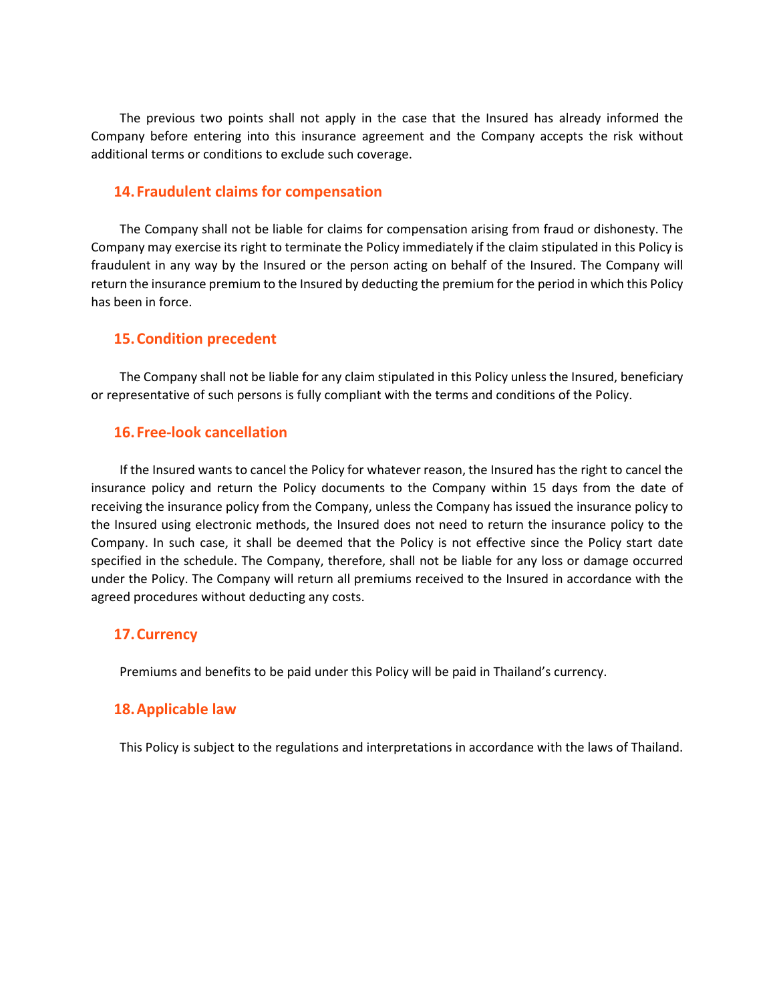The previous two points shall not apply in the case that the Insured has already informed the Company before entering into this insurance agreement and the Company accepts the risk without additional terms or conditions to exclude such coverage.

## **14.Fraudulent claims for compensation**

The Company shall not be liable for claims for compensation arising from fraud or dishonesty. The Company may exercise its right to terminate the Policy immediately if the claim stipulated in this Policy is fraudulent in any way by the Insured or the person acting on behalf of the Insured. The Company will return the insurance premium to the Insured by deducting the premium for the period in which this Policy has been in force.

#### **15.Condition precedent**

The Company shall not be liable for any claim stipulated in this Policy unless the Insured, beneficiary or representative of such persons is fully compliant with the terms and conditions of the Policy.

#### **16.Free-look cancellation**

If the Insured wants to cancel the Policy for whatever reason, the Insured has the right to cancel the insurance policy and return the Policy documents to the Company within 15 days from the date of receiving the insurance policy from the Company, unless the Company has issued the insurance policy to the Insured using electronic methods, the Insured does not need to return the insurance policy to the Company. In such case, it shall be deemed that the Policy is not effective since the Policy start date specified in the schedule. The Company, therefore, shall not be liable for any loss or damage occurred under the Policy. The Company will return all premiums received to the Insured in accordance with the agreed procedures without deducting any costs.

#### **17.Currency**

Premiums and benefits to be paid under this Policy will be paid in Thailand's currency.

#### **18.Applicable law**

This Policy is subject to the regulations and interpretations in accordance with the laws of Thailand.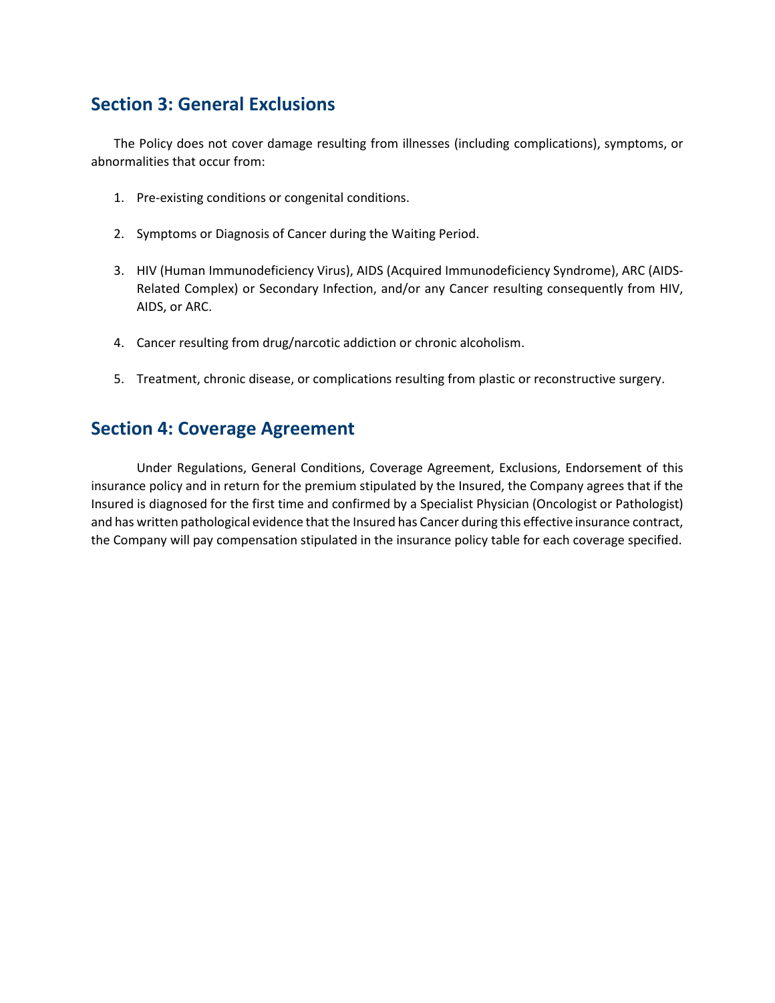## **Section 3: General Exclusions**

The Policy does not cover damage resulting from illnesses (including complications), symptoms, or abnormalities that occur from:

- 1. Pre-existing conditions or congenital conditions.
- 2. Symptoms or Diagnosis of Cancer during the Waiting Period.
- 3. HIV (Human Immunodeficiency Virus), AIDS (Acquired Immunodeficiency Syndrome), ARC (AIDS-Related Complex) or Secondary Infection, and/or any Cancer resulting consequently from HIV, AIDS, or ARC.
- 4. Cancer resulting from drug/narcotic addiction or chronic alcoholism.
- 5. Treatment, chronic disease, or complications resulting from plastic or reconstructive surgery.

## **Section 4: Coverage Agreement**

Under Regulations, General Conditions, Coverage Agreement, Exclusions, Endorsement of this insurance policy and in return for the premium stipulated by the Insured, the Company agrees that if the Insured is diagnosed for the first time and confirmed by a Specialist Physician (Oncologist or Pathologist) and has written pathological evidence that the Insured has Cancer during this effective insurance contract, the Company will pay compensation stipulated in the insurance policy table for each coverage specified.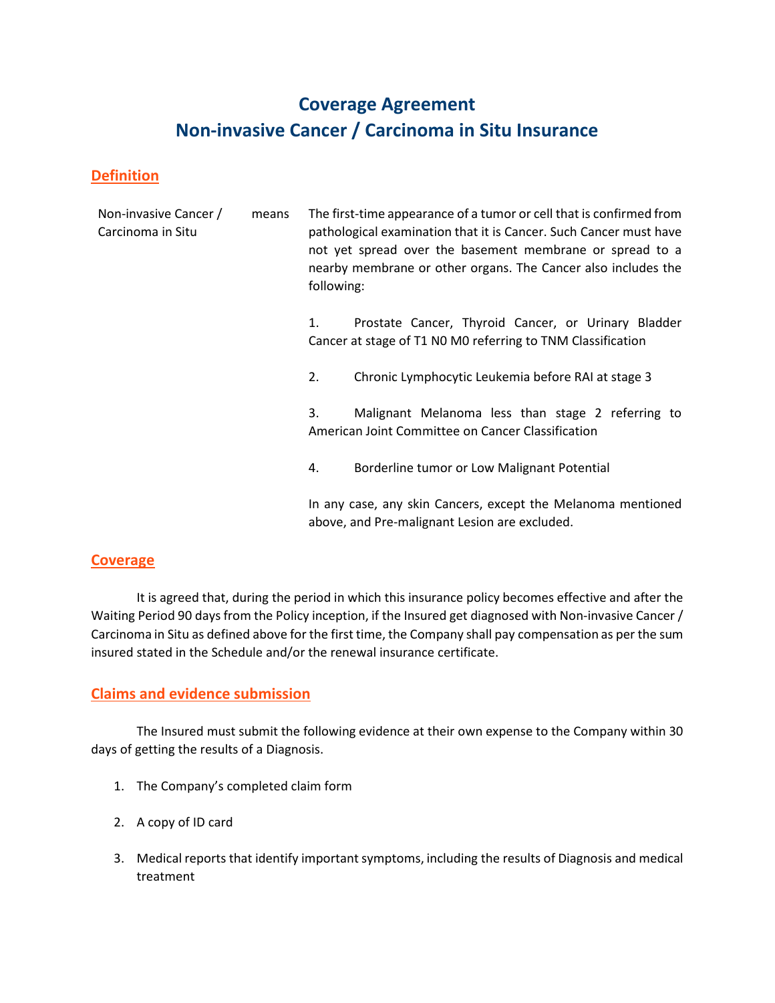# **Coverage Agreement Non-invasive Cancer / Carcinoma in Situ Insurance**

## **Definition**

| Non-invasive Cancer /<br>Carcinoma in Situ | means | following: | The first-time appearance of a tumor or cell that is confirmed from<br>pathological examination that it is Cancer. Such Cancer must have<br>not yet spread over the basement membrane or spread to a<br>nearby membrane or other organs. The Cancer also includes the |
|--------------------------------------------|-------|------------|-----------------------------------------------------------------------------------------------------------------------------------------------------------------------------------------------------------------------------------------------------------------------|
|                                            |       | 1.         | Prostate Cancer, Thyroid Cancer, or Urinary Bladder<br>Cancer at stage of T1 N0 M0 referring to TNM Classification                                                                                                                                                    |
|                                            |       | 2.         | Chronic Lymphocytic Leukemia before RAI at stage 3                                                                                                                                                                                                                    |
|                                            |       | 3.         | Malignant Melanoma less than stage 2 referring to<br>American Joint Committee on Cancer Classification                                                                                                                                                                |
|                                            |       | 4.         | Borderline tumor or Low Malignant Potential                                                                                                                                                                                                                           |
|                                            |       |            | In any case, any skin Cancers, except the Melanoma mentioned<br>above, and Pre-malignant Lesion are excluded.                                                                                                                                                         |

## **Coverage**

It is agreed that, during the period in which this insurance policy becomes effective and after the Waiting Period 90 days from the Policy inception, if the Insured get diagnosed with Non-invasive Cancer / Carcinoma in Situ as defined above for the first time, the Company shall pay compensation as per the sum insured stated in the Schedule and/or the renewal insurance certificate.

## **Claims and evidence submission**

The Insured must submit the following evidence at their own expense to the Company within 30 days of getting the results of a Diagnosis.

- 1. The Company's completed claim form
- 2. A copy of ID card
- 3. Medical reports that identify important symptoms, including the results of Diagnosis and medical treatment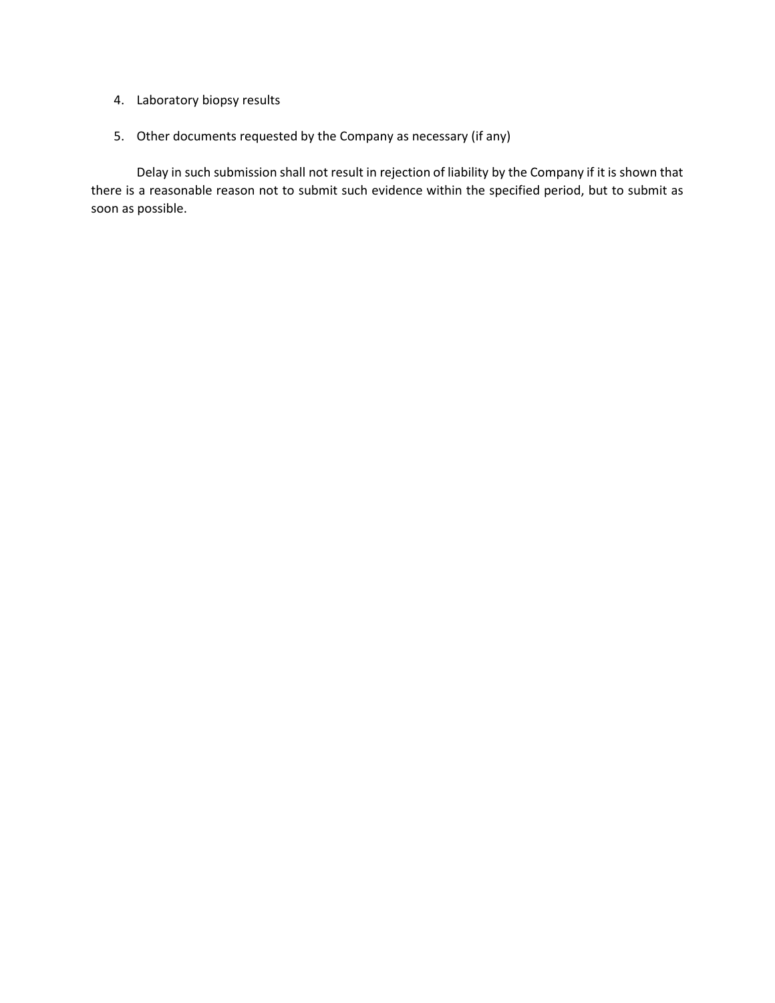- 4. Laboratory biopsy results
- 5. Other documents requested by the Company as necessary (if any)

Delay in such submission shall not result in rejection of liability by the Company if it is shown that there is a reasonable reason not to submit such evidence within the specified period, but to submit as soon as possible.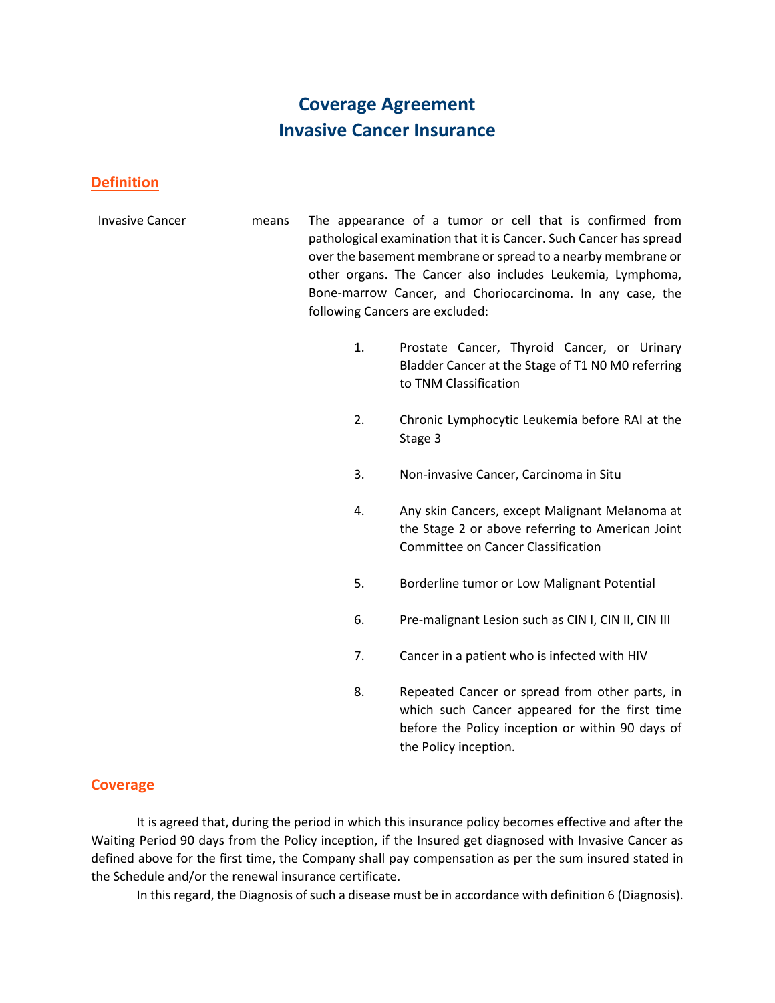# **Coverage Agreement Invasive Cancer Insurance**

## **Definition**

- Invasive Cancer means The appearance of a tumor or cell that is confirmed from pathological examination that it is Cancer. Such Cancer has spread over the basement membrane or spread to a nearby membrane or other organs. The Cancer also includes Leukemia, Lymphoma, Bone-marrow Cancer, and Choriocarcinoma. In any case, the following Cancers are excluded:
	- 1. Prostate Cancer, Thyroid Cancer, or Urinary Bladder Cancer at the Stage of T1 N0 M0 referring to TNM Classification
	- 2. Chronic Lymphocytic Leukemia before RAI at the Stage 3
	- 3. Non-invasive Cancer, Carcinoma in Situ
	- 4. Any skin Cancers, except Malignant Melanoma at the Stage 2 or above referring to American Joint Committee on Cancer Classification
	- 5. Borderline tumor or Low Malignant Potential
	- 6. Pre-malignant Lesion such as CIN I, CIN II, CIN III
	- 7. Cancer in a patient who is infected with HIV
	- 8. Repeated Cancer or spread from other parts, in which such Cancer appeared for the first time before the Policy inception or within 90 days of the Policy inception.

## **Coverage**

It is agreed that, during the period in which this insurance policy becomes effective and after the Waiting Period 90 days from the Policy inception, if the Insured get diagnosed with Invasive Cancer as defined above for the first time, the Company shall pay compensation as per the sum insured stated in the Schedule and/or the renewal insurance certificate.

In this regard, the Diagnosis of such a disease must be in accordance with definition 6 (Diagnosis).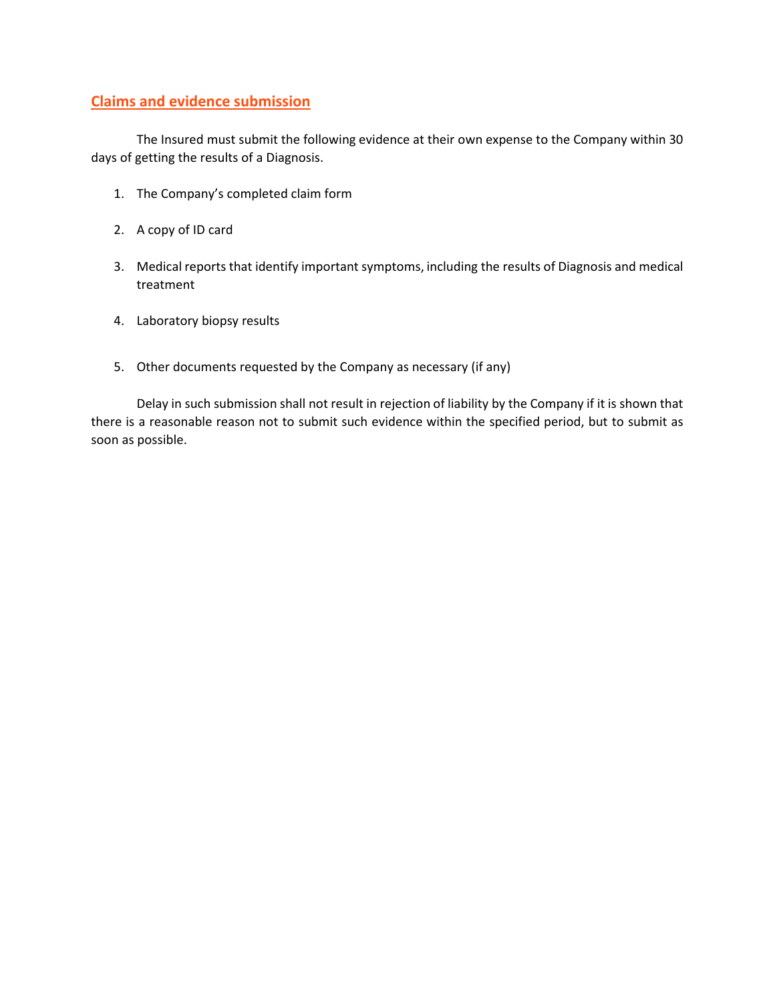## **Claims and evidence submission**

The Insured must submit the following evidence at their own expense to the Company within 30 days of getting the results of a Diagnosis.

- 1. The Company's completed claim form
- 2. A copy of ID card
- 3. Medical reports that identify important symptoms, including the results of Diagnosis and medical treatment
- 4. Laboratory biopsy results
- 5. Other documents requested by the Company as necessary (if any)

Delay in such submission shall not result in rejection of liability by the Company if it is shown that there is a reasonable reason not to submit such evidence within the specified period, but to submit as soon as possible.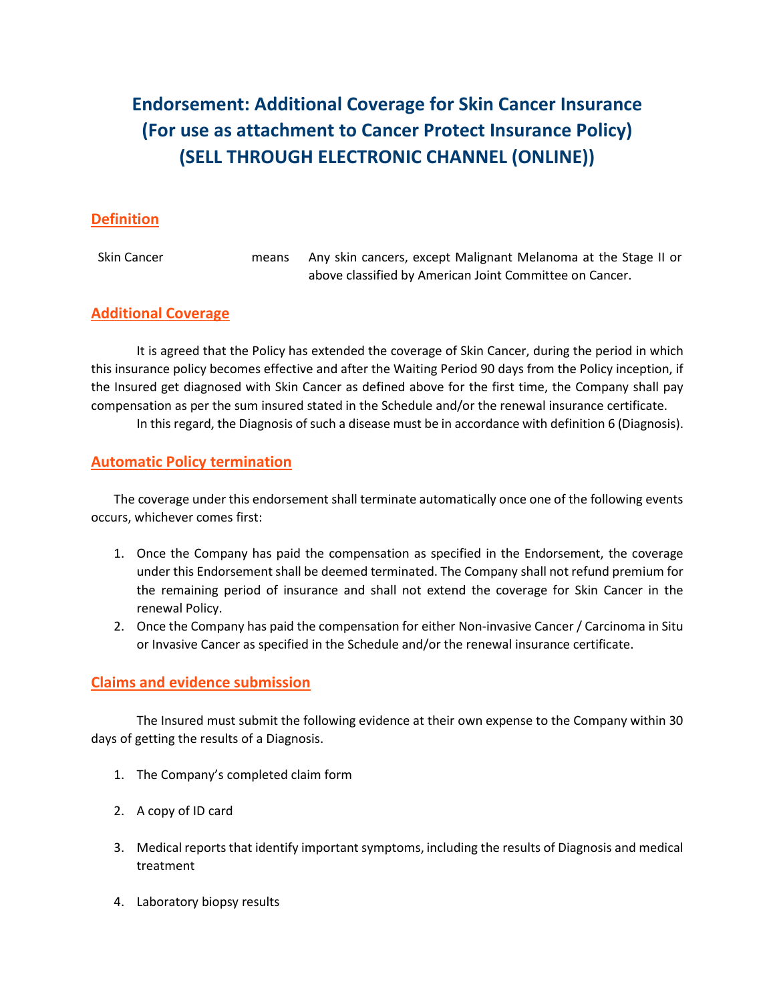# **Endorsement: Additional Coverage for Skin Cancer Insurance (For use as attachment to Cancer Protect Insurance Policy) (SELL THROUGH ELECTRONIC CHANNEL (ONLINE))**

## **Definition**

Skin Cancer means Any skin cancers, except Malignant Melanoma at the Stage II or above classified by American Joint Committee on Cancer.

## **Additional Coverage**

It is agreed that the Policy has extended the coverage of Skin Cancer, during the period in which this insurance policy becomes effective and after the Waiting Period 90 days from the Policy inception, if the Insured get diagnosed with Skin Cancer as defined above for the first time, the Company shall pay compensation as per the sum insured stated in the Schedule and/or the renewal insurance certificate.

In this regard, the Diagnosis of such a disease must be in accordance with definition 6 (Diagnosis).

## **Automatic Policy termination**

The coverage under this endorsement shall terminate automatically once one of the following events occurs, whichever comes first:

- 1. Once the Company has paid the compensation as specified in the Endorsement, the coverage under this Endorsement shall be deemed terminated. The Company shall not refund premium for the remaining period of insurance and shall not extend the coverage for Skin Cancer in the renewal Policy.
- 2. Once the Company has paid the compensation for either Non-invasive Cancer / Carcinoma in Situ or Invasive Cancer as specified in the Schedule and/or the renewal insurance certificate.

## **Claims and evidence submission**

The Insured must submit the following evidence at their own expense to the Company within 30 days of getting the results of a Diagnosis.

- 1. The Company's completed claim form
- 2. A copy of ID card
- 3. Medical reports that identify important symptoms, including the results of Diagnosis and medical treatment
- 4. Laboratory biopsy results